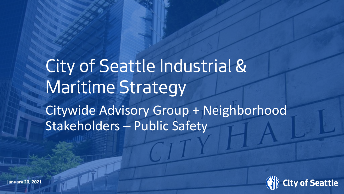# *City of Seattle Industrial & Maritime Strategy* Citywide Advisory Group + Neighborhood Stakeholders – Public Safety

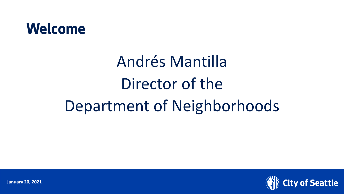

# Andrés Mantilla Director of the Department of Neighborhoods



**January 20, 2021**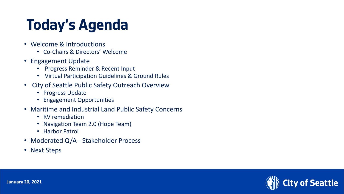### **Today's Agenda**

- Welcome & Introductions
	- Co-Chairs & Directors' Welcome
- Engagement Update
	- Progress Reminder & Recent Input
	- Virtual Participation Guidelines & Ground Rules
- City of Seattle Public Safety Outreach Overview
	- Progress Update
	- Engagement Opportunities
- Maritime and Industrial Land Public Safety Concerns
	- RV remediation
	- Navigation Team 2.0 (Hope Team)
	- Harbor Patrol
- Moderated Q/A Stakeholder Process
- Next Steps

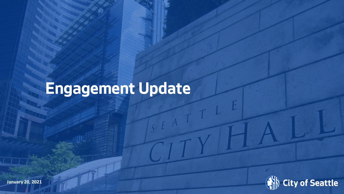# **Engagement Update**

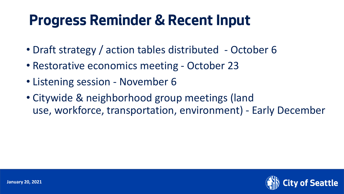#### **Progress Reminder & Recent Input**

- Draft strategy / action tables distributed October 6
- Restorative economics meeting October 23
- Listening session November 6
- Citywide & neighborhood group meetings (land use, workforce, transportation, environment) - Early December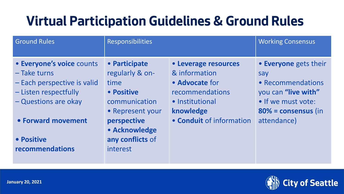#### **Virtual Participation Guidelines & Ground Rules**

| <b>Ground Rules</b>                                                                                                                                                                | <b>Responsibilities</b>                                                                                                                                     |                                                                                                                                        | <b>Working Consensus</b>                                                                                                             |
|------------------------------------------------------------------------------------------------------------------------------------------------------------------------------------|-------------------------------------------------------------------------------------------------------------------------------------------------------------|----------------------------------------------------------------------------------------------------------------------------------------|--------------------------------------------------------------------------------------------------------------------------------------|
| • Everyone's voice counts<br>$-$ Take turns<br>- Each perspective is valid<br>- Listen respectfully<br>- Questions are okay<br>• Forward movement<br>• Positive<br>recommendations | • Participate<br>regularly & on-<br>time<br>• Positive<br>communication<br>• Represent your<br>perspective<br>• Acknowledge<br>any conflicts of<br>interest | • Leverage resources<br>& information<br>• Advocate for<br>recommendations<br>• Institutional<br>knowledge<br>• Conduit of information | • Everyone gets their<br>say<br>• Recommendations<br>you can "live with"<br>• If we must vote:<br>80% = consensus (in<br>attendance) |

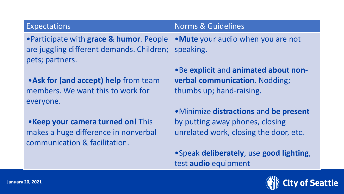#### Expectations **Norms & Guidelines**

•Participate with **grace & humor**. People are juggling different demands. Children; pets; partners.

•**Ask for (and accept) help** from team members. We want this to work for everyone.

•**Keep your camera turned on!** This makes a huge difference in nonverbal communication & facilitation.

•**Mute** your audio when you are not speaking.

•Be **explicit** and **animated about nonverbal communication**. Nodding; thumbs up; hand-raising.

•Minimize **distractions** and **be present**  by putting away phones, closing unrelated work, closing the door, etc.

•Speak **deliberately**, use **good lighting**, test **audio** equipment

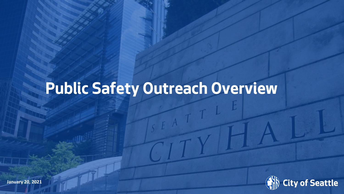### **Public Safety Outreach Overview**

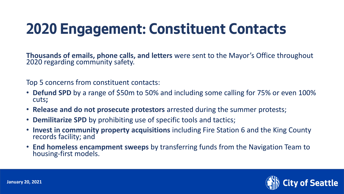### **2020 Engagement: Constituent Contacts**

**Thousands of emails, phone calls, and letters** were sent to the Mayor's Office throughout 2020 regarding community safety.

Top 5 concerns from constituent contacts:

- **Defund SPD** by a range of \$50m to 50% and including some calling for 75% or even 100% cuts**;**
- **Release and do not prosecute protestors** arrested during the summer protests;
- **Demilitarize SPD** by prohibiting use of specific tools and tactics;
- **Invest in community property acquisitions** including Fire Station 6 and the King County records facility; and
- **End homeless encampment sweeps** by transferring funds from the Navigation Team to housing-first models.

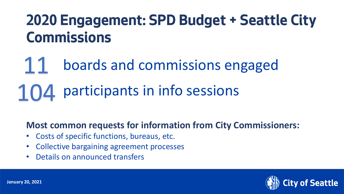### **2020 Engagement: SPD Budget + Seattle City Commissions**

# 11 boards and commissions engaged 104 participants in info sessions

#### **Most common requests for information from City Commissioners:**

- Costs of specific functions, bureaus, etc.
- Collective bargaining agreement processes
- Details on announced transfers

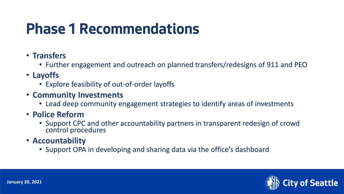### **Phase 1 Recommendations**

- **Transfers**
	- Further engagement and outreach on planned transfers/redesigns of 911 and PEO
- **Layoffs**
	- Explore feasibility of out-of-order layoffs
- **Community Investments**
	- Lead deep community engagement strategies to identify areas of investments
- **Police Reform**
	- Support CPC and other accountability partners in transparent redesign of crowd control procedures
- **Accountability**
	- Support OPA in developing and sharing data via the office's dashboard

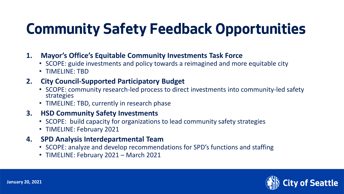### **Community Safety Feedback Opportunities**

- **1. Mayor's Office's Equitable Community Investments Task Force**
	- SCOPE: guide investments and policy towards a reimagined and more equitable city
	- TIMELINE: TBD

#### **2. City Council-Supported Participatory Budget**

- SCOPE: community research-led process to direct investments into community-led safety strategies
- TIMELINE: TBD, currently in research phase

#### **3. HSD Community Safety Investments**

- SCOPE: build capacity for organizations to lead community safety strategies
- TIMELINE: February 2021
- **4. SPD Analysis Interdepartmental Team**
	- SCOPE: analyze and develop recommendations for SPD's functions and staffing
	- TIMELINE: February 2021 March 2021

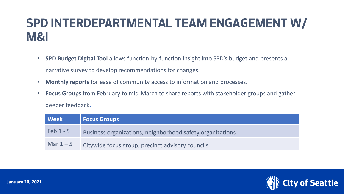#### **SPD INTERDEPARTMENTAL TEAM ENGAGEMENT W/ M&I**

- **SPD Budget Digital Tool** allows function-by-function insight into SPD's budget and presents a narrative survey to develop recommendations for changes.
- **Monthly reports** for ease of community access to information and processes.
- **Focus Groups** from February to mid-March to share reports with stakeholder groups and gather deeper feedback.

| Week       | <b>Focus Groups</b>                                       |
|------------|-----------------------------------------------------------|
| $Feb1 - 5$ | Business organizations, neighborhood safety organizations |
| Mar $1-5$  | Citywide focus group, precinct advisory councils          |

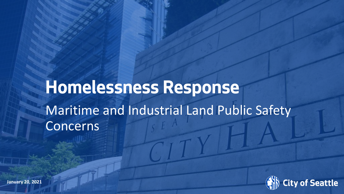## **Homelessness Response** Maritime and Industrial Land Public Safety Concerns

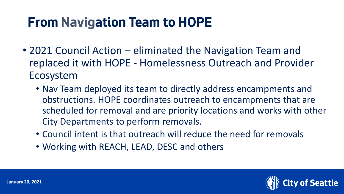#### **From Navigation Team to HOPE**

- 2021 Council Action eliminated the Navigation Team and replaced it with HOPE - Homelessness Outreach and Provider Ecosystem
	- Nav Team deployed its team to directly address encampments and obstructions. HOPE coordinates outreach to encampments that are scheduled for removal and are priority locations and works with other City Departments to perform removals.
	- Council intent is that outreach will reduce the need for removals
	- Working with REACH, LEAD, DESC and others

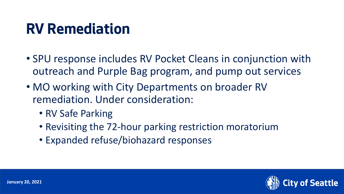#### **RV Remediation**

- SPU response includes RV Pocket Cleans in conjunction with outreach and Purple Bag program, and pump out services
- MO working with City Departments on broader RV remediation. Under consideration:
	- RV Safe Parking
	- Revisiting the 72-hour parking restriction moratorium
	- Expanded refuse/biohazard responses

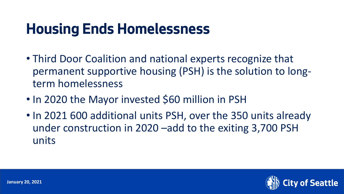### **Housing Ends Homelessness**

- Third Door Coalition and national experts recognize that permanent supportive housing (PSH) is the solution to longterm homelessness
- In 2020 the Mayor invested \$60 million in PSH
- In 2021 600 additional units PSH, over the 350 units already under construction in 2020 –add to the exiting 3,700 PSH units

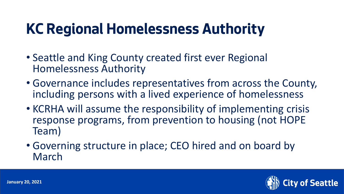### **KC Regional Homelessness Authority**

- Seattle and King County created first ever Regional Homelessness Authority
- Governance includes representatives from across the County, including persons with a lived experience of homelessness
- KCRHA will assume the responsibility of implementing crisis response programs, from prevention to housing (not HOPE Team)
- Governing structure in place; CEO hired and on board by March

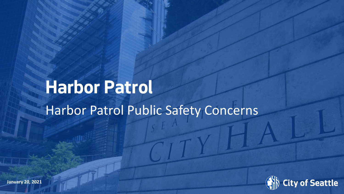# **Harbor Patrol** Harbor Patrol Public Safety Concerns

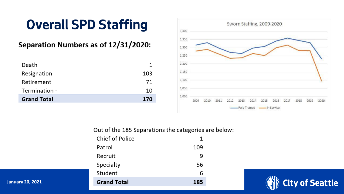#### **Overall SPD Staffing**

#### Separation Numbers as of 12/31/2020:

| Death              |     |
|--------------------|-----|
| Resignation        | 103 |
| Retirement         | 71  |
| Termination -      | 10  |
| <b>Grand Total</b> | 170 |



Out of the 185 Separations the categories are below:

| <b>Grand Total</b> | 185 |
|--------------------|-----|
| Student            | 6   |
| Specialty          | 56  |
| Recruit            | 9   |
| Patrol             | 109 |
| Chief of Police    | 1   |



**January 20, 2021**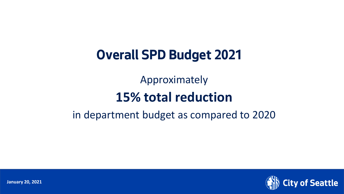#### **Overall SPD Budget 2021**

Approximately

#### **15% total reduction**

#### in department budget as compared to 2020



**January 20, 2021**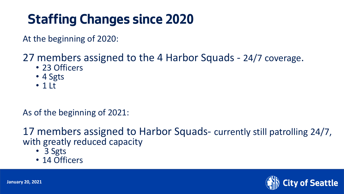#### **Staffing Changes since 2020**

At the beginning of 2020:

#### 27 members assigned to the 4 Harbor Squads - 24/7 coverage.

- 23 Officers
- 4 Sgts
- 1 Lt

#### As of the beginning of 2021:

17 members assigned to Harbor Squads- currently still patrolling 24/7, with greatly reduced capacity

- 3 Sgts
- 14 Officers

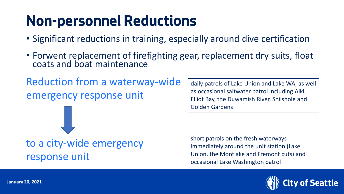### **Non-personnel Reductions**

- Significant reductions in training, especially around dive certification
- Forwent replacement of firefighting gear, replacement dry suits, float coats and boat maintenance

Reduction from a waterway-wide emergency response unit

to a city-wide emergency response unit

daily patrols of Lake Union and Lake WA, as well as occasional saltwater patrol including Alki, Elliot Bay, the Duwamish River, Shilshole and Golden Gardens

short patrols on the fresh waterways immediately around the unit station (Lake Union, the Montlake and Fremont cuts) and occasional Lake Washington patrol

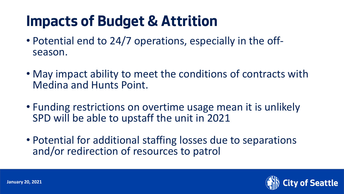### **Impacts of Budget & Attrition**

- Potential end to 24/7 operations, especially in the offseason.
- May impact ability to meet the conditions of contracts with Medina and Hunts Point.
- Funding restrictions on overtime usage mean it is unlikely SPD will be able to upstaff the unit in 2021
- Potential for additional staffing losses due to separations and/or redirection of resources to patrol

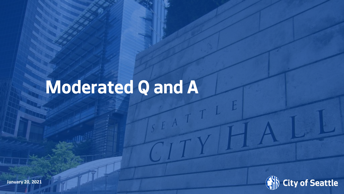# **Moderated Q and A**



**January 20, 2021**